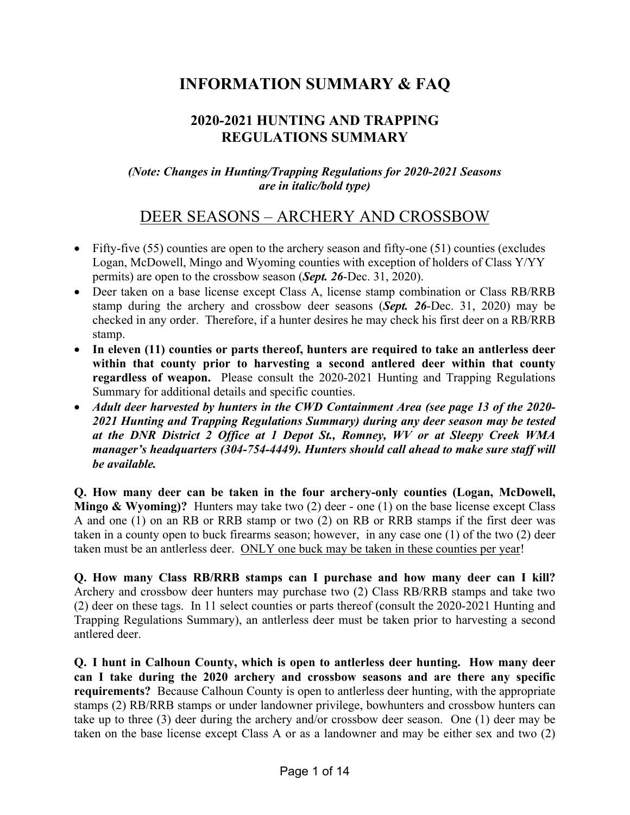# **INFORMATION SUMMARY & FAQ**

#### **2020-2021 HUNTING AND TRAPPING REGULATIONS SUMMARY**

#### *(Note: Changes in Hunting/Trapping Regulations for 2020-2021 Seasons are in italic/bold type)*

### DEER SEASONS – ARCHERY AND CROSSBOW

- Fifty-five  $(55)$  counties are open to the archery season and fifty-one  $(51)$  counties (excludes Logan, McDowell, Mingo and Wyoming counties with exception of holders of Class Y/YY permits) are open to the crossbow season (*Sept. 26*-Dec. 31, 2020).
- Deer taken on a base license except Class A, license stamp combination or Class RB/RRB stamp during the archery and crossbow deer seasons (*Sept. 26*-Dec. 31, 2020) may be checked in any order. Therefore, if a hunter desires he may check his first deer on a RB/RRB stamp.
- **In eleven (11) counties or parts thereof, hunters are required to take an antlerless deer within that county prior to harvesting a second antlered deer within that county regardless of weapon.** Please consult the 2020-2021 Hunting and Trapping Regulations Summary for additional details and specific counties.
- *Adult deer harvested by hunters in the CWD Containment Area (see page 13 of the 2020- 2021 Hunting and Trapping Regulations Summary) during any deer season may be tested at the DNR District 2 Office at 1 Depot St., Romney, WV or at Sleepy Creek WMA manager's headquarters (304-754-4449). Hunters should call ahead to make sure staff will be available.*

**Q. How many deer can be taken in the four archery-only counties (Logan, McDowell, Mingo & Wyoming)?** Hunters may take two (2) deer - one (1) on the base license except Class A and one (1) on an RB or RRB stamp or two (2) on RB or RRB stamps if the first deer was taken in a county open to buck firearms season; however, in any case one (1) of the two (2) deer taken must be an antlerless deer. ONLY one buck may be taken in these counties per year!

**Q. How many Class RB/RRB stamps can I purchase and how many deer can I kill?** Archery and crossbow deer hunters may purchase two (2) Class RB/RRB stamps and take two (2) deer on these tags. In 11 select counties or parts thereof (consult the 2020-2021 Hunting and Trapping Regulations Summary), an antlerless deer must be taken prior to harvesting a second antlered deer.

**Q. I hunt in Calhoun County, which is open to antlerless deer hunting. How many deer can I take during the 2020 archery and crossbow seasons and are there any specific requirements?** Because Calhoun County is open to antlerless deer hunting, with the appropriate stamps (2) RB/RRB stamps or under landowner privilege, bowhunters and crossbow hunters can take up to three (3) deer during the archery and/or crossbow deer season. One (1) deer may be taken on the base license except Class A or as a landowner and may be either sex and two (2)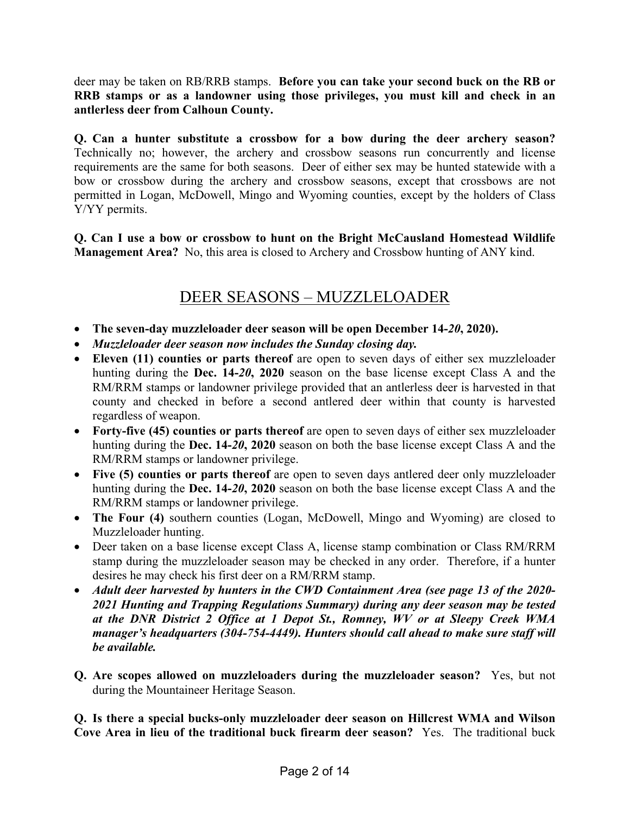deer may be taken on RB/RRB stamps. **Before you can take your second buck on the RB or RRB stamps or as a landowner using those privileges, you must kill and check in an antlerless deer from Calhoun County.**

**Q. Can a hunter substitute a crossbow for a bow during the deer archery season?** Technically no; however, the archery and crossbow seasons run concurrently and license requirements are the same for both seasons. Deer of either sex may be hunted statewide with a bow or crossbow during the archery and crossbow seasons, except that crossbows are not permitted in Logan, McDowell, Mingo and Wyoming counties, except by the holders of Class Y/YY permits.

**Q. Can I use a bow or crossbow to hunt on the Bright McCausland Homestead Wildlife Management Area?** No, this area is closed to Archery and Crossbow hunting of ANY kind.

### DEER SEASONS – MUZZLELOADER

- **The seven-day muzzleloader deer season will be open December 14-***20***, 2020).**
- *Muzzleloader deer season now includes the Sunday closing day.*
- **Eleven (11) counties or parts thereof** are open to seven days of either sex muzzleloader hunting during the **Dec. 14-***20***, 2020** season on the base license except Class A and the RM/RRM stamps or landowner privilege provided that an antlerless deer is harvested in that county and checked in before a second antlered deer within that county is harvested regardless of weapon.
- **Forty-five (45) counties or parts thereof** are open to seven days of either sex muzzleloader hunting during the **Dec. 14-***20***, 2020** season on both the base license except Class A and the RM/RRM stamps or landowner privilege.
- **Five (5) counties or parts thereof** are open to seven days antlered deer only muzzleloader hunting during the **Dec. 14-***20***, 2020** season on both the base license except Class A and the RM/RRM stamps or landowner privilege.
- **The Four (4)** southern counties (Logan, McDowell, Mingo and Wyoming) are closed to Muzzleloader hunting.
- Deer taken on a base license except Class A, license stamp combination or Class RM/RRM stamp during the muzzleloader season may be checked in any order. Therefore, if a hunter desires he may check his first deer on a RM/RRM stamp.
- *Adult deer harvested by hunters in the CWD Containment Area (see page 13 of the 2020- 2021 Hunting and Trapping Regulations Summary) during any deer season may be tested at the DNR District 2 Office at 1 Depot St., Romney, WV or at Sleepy Creek WMA manager's headquarters (304-754-4449). Hunters should call ahead to make sure staff will be available.*
- **Q. Are scopes allowed on muzzleloaders during the muzzleloader season?** Yes, but not during the Mountaineer Heritage Season.

**Q. Is there a special bucks-only muzzleloader deer season on Hillcrest WMA and Wilson Cove Area in lieu of the traditional buck firearm deer season?** Yes. The traditional buck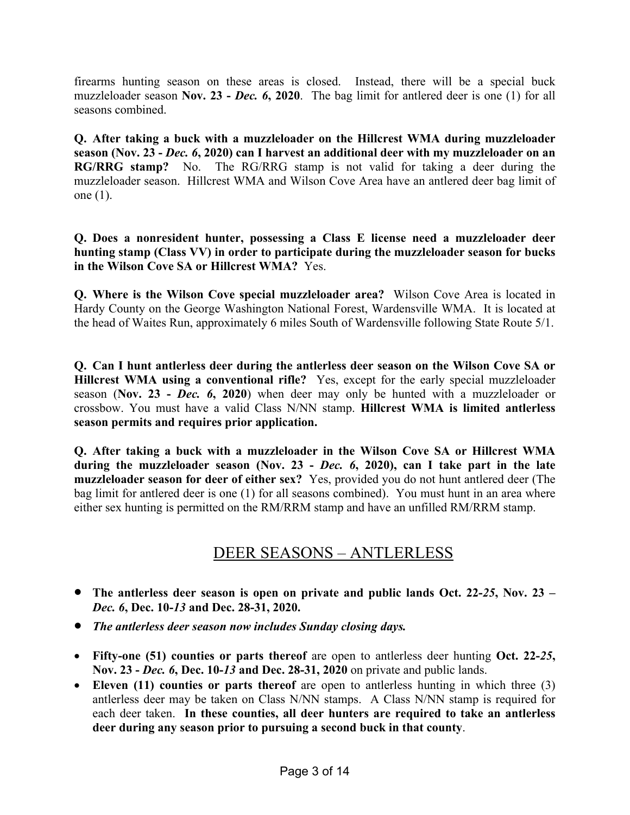firearms hunting season on these areas is closed. Instead, there will be a special buck muzzleloader season **Nov. 23 -** *Dec. 6***, 2020**. The bag limit for antlered deer is one (1) for all seasons combined.

**Q. After taking a buck with a muzzleloader on the Hillcrest WMA during muzzleloader season (Nov. 23 -** *Dec. 6***, 2020) can I harvest an additional deer with my muzzleloader on an RG/RRG stamp?** No. The RG/RRG stamp is not valid for taking a deer during the muzzleloader season. Hillcrest WMA and Wilson Cove Area have an antlered deer bag limit of one (1).

**Q. Does a nonresident hunter, possessing a Class E license need a muzzleloader deer hunting stamp (Class VV) in order to participate during the muzzleloader season for bucks in the Wilson Cove SA or Hillcrest WMA?** Yes.

**Q. Where is the Wilson Cove special muzzleloader area?** Wilson Cove Area is located in Hardy County on the George Washington National Forest, Wardensville WMA. It is located at the head of Waites Run, approximately 6 miles South of Wardensville following State Route 5/1.

**Q. Can I hunt antlerless deer during the antlerless deer season on the Wilson Cove SA or Hillcrest WMA using a conventional rifle?** Yes, except for the early special muzzleloader season (**Nov. 23 -** *Dec. 6***, 2020**) when deer may only be hunted with a muzzleloader or crossbow. You must have a valid Class N/NN stamp. **Hillcrest WMA is limited antlerless season permits and requires prior application.**

**Q. After taking a buck with a muzzleloader in the Wilson Cove SA or Hillcrest WMA during the muzzleloader season (Nov. 23 -** *Dec. 6***, 2020), can I take part in the late muzzleloader season for deer of either sex?** Yes, provided you do not hunt antlered deer (The bag limit for antlered deer is one (1) for all seasons combined). You must hunt in an area where either sex hunting is permitted on the RM/RRM stamp and have an unfilled RM/RRM stamp.

### DEER SEASONS – ANTLERLESS

- **The antlerless deer season is open on private and public lands Oct. 22-***25***, Nov. 23 –** *Dec. 6***, Dec. 10-***13* **and Dec. 28-31, 2020.**
- *The antlerless deer season now includes Sunday closing days.*
- **Fifty-one (51) counties or parts thereof** are open to antlerless deer hunting **Oct. 22-***25***, Nov. 23 -** *Dec. 6***, Dec. 10-***13* **and Dec. 28-31, 2020** on private and public lands.
- **Eleven (11) counties or parts thereof** are open to antlerless hunting in which three (3) antlerless deer may be taken on Class N/NN stamps. A Class N/NN stamp is required for each deer taken. **In these counties, all deer hunters are required to take an antlerless deer during any season prior to pursuing a second buck in that county**.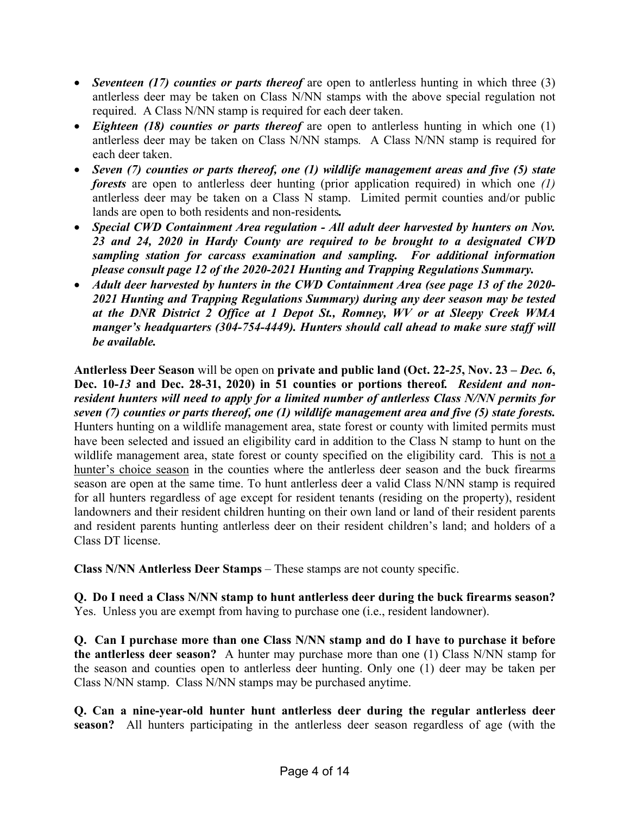- *Seventeen (17) counties or parts thereof* are open to antlerless hunting in which three (3) antlerless deer may be taken on Class N/NN stamps with the above special regulation not required. A Class N/NN stamp is required for each deer taken.
- *Eighteen (18) counties or parts thereof* are open to antlerless hunting in which one (1) antlerless deer may be taken on Class N/NN stamps*.* A Class N/NN stamp is required for each deer taken.
- *Seven (7) counties or parts thereof, one (1) wildlife management areas and five (5) state forests* are open to antlerless deer hunting (prior application required) in which one *(1)*  antlerless deer may be taken on a Class N stamp. Limited permit counties and/or public lands are open to both residents and non-residents*.*
- *Special CWD Containment Area regulation - All adult deer harvested by hunters on Nov. 23 and 24, 2020 in Hardy County are required to be brought to a designated CWD sampling station for carcass examination and sampling. For additional information please consult page 12 of the 2020-2021 Hunting and Trapping Regulations Summary.*
- *Adult deer harvested by hunters in the CWD Containment Area (see page 13 of the 2020- 2021 Hunting and Trapping Regulations Summary) during any deer season may be tested at the DNR District 2 Office at 1 Depot St., Romney, WV or at Sleepy Creek WMA manger's headquarters (304-754-4449). Hunters should call ahead to make sure staff will be available.*

**Antlerless Deer Season** will be open on **private and public land (Oct. 22-***25***, Nov. 23 –** *Dec. 6***, Dec. 10-***13* **and Dec. 28-31, 2020) in 51 counties or portions thereof***. Resident and nonresident hunters will need to apply for a limited number of antlerless Class N/NN permits for seven (7) counties or parts thereof, one (1) wildlife management area and five (5) state forests.*  Hunters hunting on a wildlife management area, state forest or county with limited permits must have been selected and issued an eligibility card in addition to the Class N stamp to hunt on the wildlife management area, state forest or county specified on the eligibility card. This is not a hunter's choice season in the counties where the antlerless deer season and the buck firearms season are open at the same time. To hunt antlerless deer a valid Class N/NN stamp is required for all hunters regardless of age except for resident tenants (residing on the property), resident landowners and their resident children hunting on their own land or land of their resident parents and resident parents hunting antlerless deer on their resident children's land; and holders of a Class DT license.

**Class N/NN Antlerless Deer Stamps** *–* These stamps are not county specific.

**Q. Do I need a Class N/NN stamp to hunt antlerless deer during the buck firearms season?** Yes. Unless you are exempt from having to purchase one (i.e., resident landowner).

**Q. Can I purchase more than one Class N/NN stamp and do I have to purchase it before the antlerless deer season?** A hunter may purchase more than one (1) Class N/NN stamp for the season and counties open to antlerless deer hunting. Only one (1) deer may be taken per Class N/NN stamp. Class N/NN stamps may be purchased anytime.

**Q. Can a nine-year-old hunter hunt antlerless deer during the regular antlerless deer season?** All hunters participating in the antlerless deer season regardless of age (with the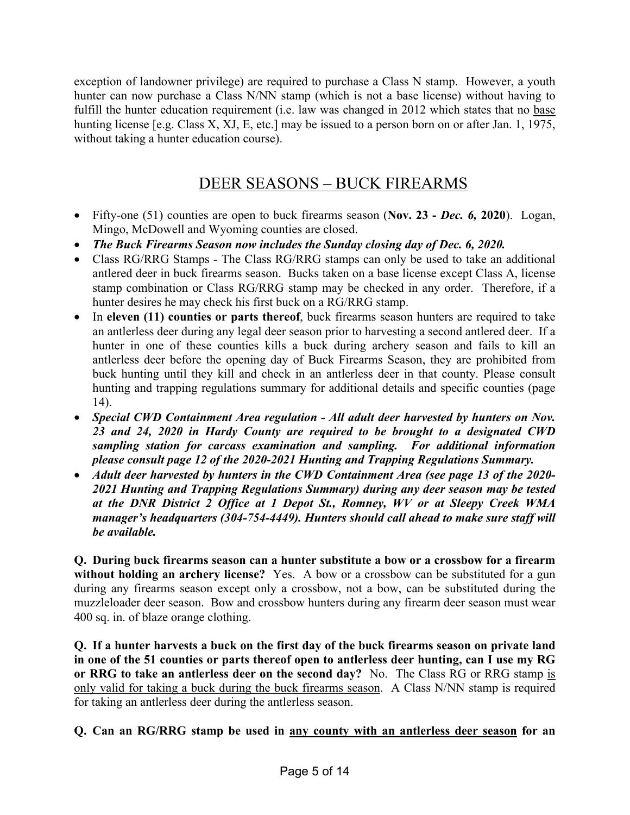exception of landowner privilege) are required to purchase a Class N stamp. However, a youth hunter can now purchase a Class N/NN stamp (which is not a base license) without having to fulfill the hunter education requirement (i.e. law was changed in 2012 which states that no base hunting license [e.g. Class X, XJ, E, etc.] may be issued to a person born on or after Jan. 1, 1975, without taking a hunter education course).

### DEER SEASONS – BUCK FIREARMS

- Fifty-one (51) counties are open to buck firearms season (**Nov. 23 -** *Dec. 6,* **2020**). Logan, Mingo, McDowell and Wyoming counties are closed.
- *The Buck Firearms Season now includes the Sunday closing day of Dec. 6, 2020.*
- Class RG/RRG Stamps *-* The Class RG/RRG stamps can only be used to take an additional antlered deer in buck firearms season. Bucks taken on a base license except Class A, license stamp combination or Class RG/RRG stamp may be checked in any order. Therefore, if a hunter desires he may check his first buck on a RG/RRG stamp.
- In **eleven (11) counties or parts thereof**, buck firearms season hunters are required to take an antlerless deer during any legal deer season prior to harvesting a second antlered deer. If a hunter in one of these counties kills a buck during archery season and fails to kill an antlerless deer before the opening day of Buck Firearms Season, they are prohibited from buck hunting until they kill and check in an antlerless deer in that county. Please consult hunting and trapping regulations summary for additional details and specific counties (page 14).
- *Special CWD Containment Area regulation - All adult deer harvested by hunters on Nov. 23 and 24, 2020 in Hardy County are required to be brought to a designated CWD sampling station for carcass examination and sampling. For additional information please consult page 12 of the 2020-2021 Hunting and Trapping Regulations Summary.*
- *Adult deer harvested by hunters in the CWD Containment Area (see page 13 of the 2020- 2021 Hunting and Trapping Regulations Summary) during any deer season may be tested at the DNR District 2 Office at 1 Depot St., Romney, WV or at Sleepy Creek WMA manager's headquarters (304-754-4449). Hunters should call ahead to make sure staff will be available.*

**Q. During buck firearms season can a hunter substitute a bow or a crossbow for a firearm without holding an archery license?** Yes. A bow or a crossbow can be substituted for a gun during any firearms season except only a crossbow, not a bow, can be substituted during the muzzleloader deer season. Bow and crossbow hunters during any firearm deer season must wear 400 sq. in. of blaze orange clothing.

**Q. If a hunter harvests a buck on the first day of the buck firearms season on private land in one of the 51 counties or parts thereof open to antlerless deer hunting, can I use my RG or RRG to take an antlerless deer on the second day?** No. The Class RG or RRG stamp is only valid for taking a buck during the buck firearms season. A Class N/NN stamp is required for taking an antlerless deer during the antlerless season.

**Q. Can an RG/RRG stamp be used in any county with an antlerless deer season for an**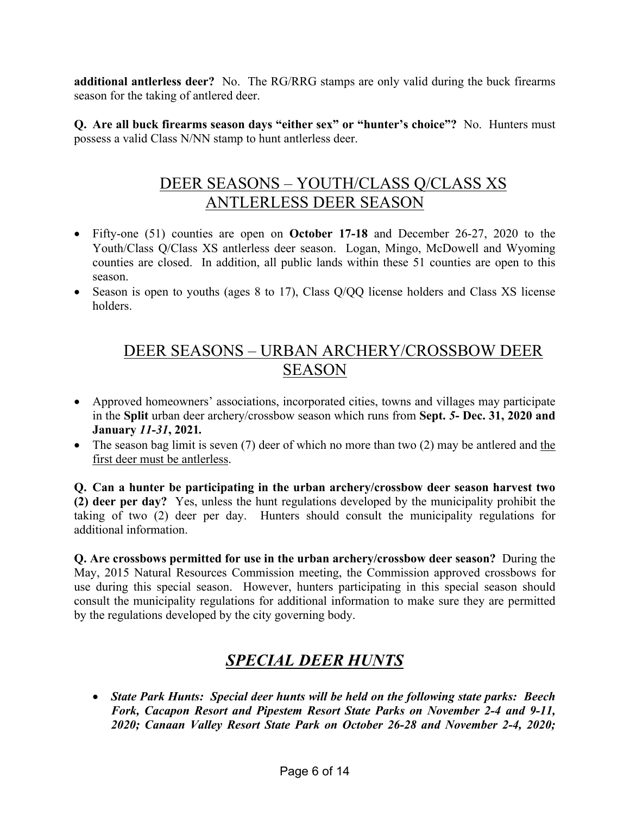**additional antlerless deer?** No. The RG/RRG stamps are only valid during the buck firearms season for the taking of antlered deer.

**Q. Are all buck firearms season days "either sex" or "hunter's choice"?** No. Hunters must possess a valid Class N/NN stamp to hunt antlerless deer.

### DEER SEASONS – YOUTH/CLASS Q/CLASS XS ANTLERLESS DEER SEASON

- Fifty-one (51) counties are open on **October 17-18** and December 26-27, 2020 to the Youth/Class Q/Class XS antlerless deer season. Logan, Mingo, McDowell and Wyoming counties are closed. In addition, all public lands within these 51 counties are open to this season.
- Season is open to youths (ages 8 to 17), Class Q/QQ license holders and Class XS license holders.

### DEER SEASONS – URBAN ARCHERY/CROSSBOW DEER SEASON

- Approved homeowners' associations, incorporated cities, towns and villages may participate in the **Split** urban deer archery/crossbow season which runs from **Sept.** *5***- Dec. 31, 2020 and January** *11-31***, 2021***.*
- The season bag limit is seven  $(7)$  deer of which no more than two  $(2)$  may be antlered and the first deer must be antlerless.

**Q. Can a hunter be participating in the urban archery/crossbow deer season harvest two (2) deer per day?** Yes, unless the hunt regulations developed by the municipality prohibit the taking of two (2) deer per day. Hunters should consult the municipality regulations for additional information.

**Q. Are crossbows permitted for use in the urban archery/crossbow deer season?** During the May, 2015 Natural Resources Commission meeting, the Commission approved crossbows for use during this special season. However, hunters participating in this special season should consult the municipality regulations for additional information to make sure they are permitted by the regulations developed by the city governing body.

# *SPECIAL DEER HUNTS*

• *State Park Hunts: Special deer hunts will be held on the following state parks: Beech Fork, Cacapon Resort and Pipestem Resort State Parks on November 2-4 and 9-11, 2020; Canaan Valley Resort State Park on October 26-28 and November 2-4, 2020;*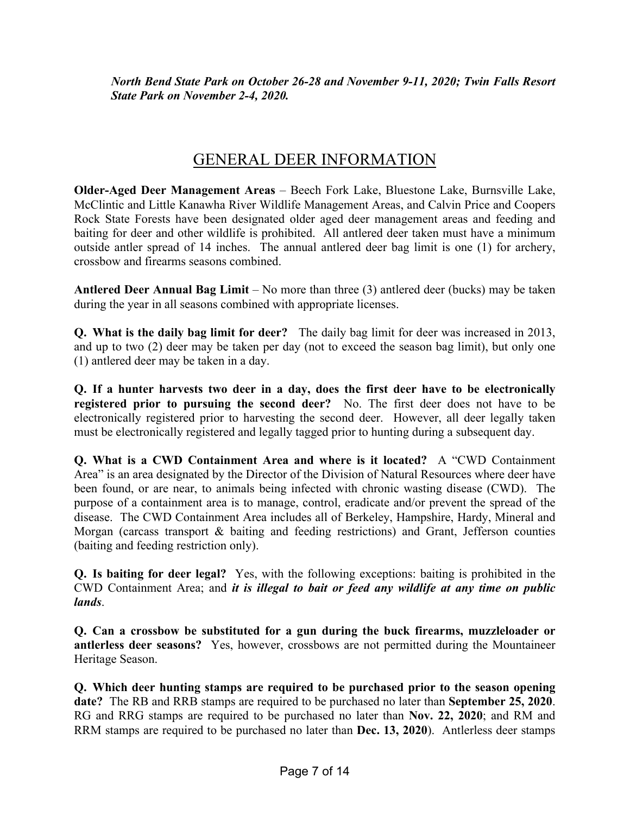*North Bend State Park on October 26-28 and November 9-11, 2020; Twin Falls Resort State Park on November 2-4, 2020.*

### GENERAL DEER INFORMATION

**Older-Aged Deer Management Areas** *–* Beech Fork Lake, Bluestone Lake, Burnsville Lake, McClintic and Little Kanawha River Wildlife Management Areas, and Calvin Price and Coopers Rock State Forests have been designated older aged deer management areas and feeding and baiting for deer and other wildlife is prohibited. All antlered deer taken must have a minimum outside antler spread of 14 inches. The annual antlered deer bag limit is one (1) for archery, crossbow and firearms seasons combined.

**Antlered Deer Annual Bag Limit** *–* No more than three (3) antlered deer (bucks) may be taken during the year in all seasons combined with appropriate licenses.

**Q. What is the daily bag limit for deer?** The daily bag limit for deer was increased in 2013, and up to two (2) deer may be taken per day (not to exceed the season bag limit), but only one (1) antlered deer may be taken in a day.

**Q. If a hunter harvests two deer in a day, does the first deer have to be electronically registered prior to pursuing the second deer?** No. The first deer does not have to be electronically registered prior to harvesting the second deer. However, all deer legally taken must be electronically registered and legally tagged prior to hunting during a subsequent day.

**Q. What is a CWD Containment Area and where is it located?** A "CWD Containment Area" is an area designated by the Director of the Division of Natural Resources where deer have been found, or are near, to animals being infected with chronic wasting disease (CWD). The purpose of a containment area is to manage, control, eradicate and/or prevent the spread of the disease. The CWD Containment Area includes all of Berkeley, Hampshire, Hardy, Mineral and Morgan (carcass transport & baiting and feeding restrictions) and Grant, Jefferson counties (baiting and feeding restriction only).

**Q. Is baiting for deer legal?** Yes, with the following exceptions: baiting is prohibited in the CWD Containment Area; and *it is illegal to bait or feed any wildlife at any time on public lands*.

**Q. Can a crossbow be substituted for a gun during the buck firearms, muzzleloader or antlerless deer seasons?** Yes, however, crossbows are not permitted during the Mountaineer Heritage Season.

**Q. Which deer hunting stamps are required to be purchased prior to the season opening date?** The RB and RRB stamps are required to be purchased no later than **September 25, 2020**. RG and RRG stamps are required to be purchased no later than **Nov. 22, 2020**; and RM and RRM stamps are required to be purchased no later than **Dec. 13, 2020**). Antlerless deer stamps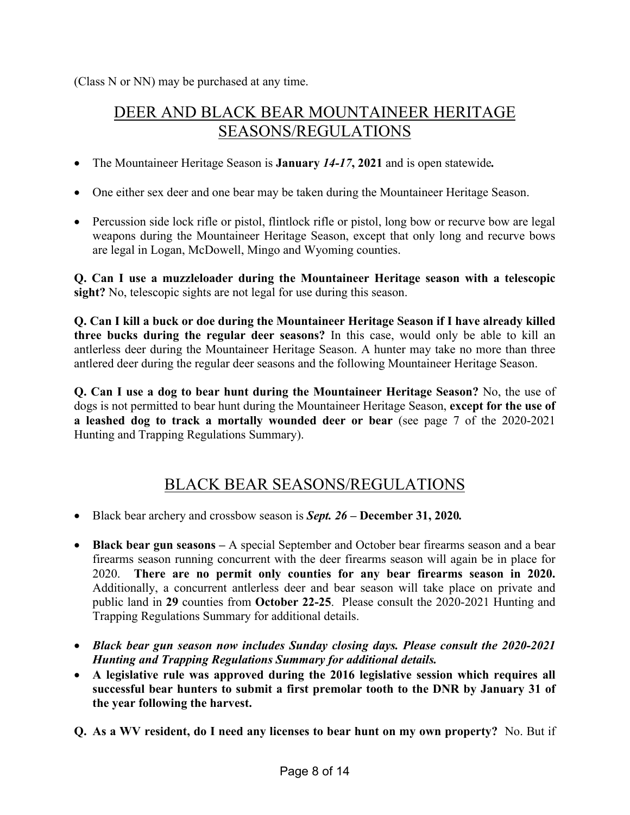(Class N or NN) may be purchased at any time.

### DEER AND BLACK BEAR MOUNTAINEER HERITAGE SEASONS/REGULATIONS

- The Mountaineer Heritage Season is **January** *14-17***, 2021** and is open statewide*.*
- One either sex deer and one bear may be taken during the Mountaineer Heritage Season.
- Percussion side lock rifle or pistol, flintlock rifle or pistol, long bow or recurve bow are legal weapons during the Mountaineer Heritage Season, except that only long and recurve bows are legal in Logan, McDowell, Mingo and Wyoming counties.

**Q. Can I use a muzzleloader during the Mountaineer Heritage season with a telescopic sight?** No, telescopic sights are not legal for use during this season.

**Q. Can I kill a buck or doe during the Mountaineer Heritage Season if I have already killed three bucks during the regular deer seasons?** In this case, would only be able to kill an antlerless deer during the Mountaineer Heritage Season. A hunter may take no more than three antlered deer during the regular deer seasons and the following Mountaineer Heritage Season.

**Q. Can I use a dog to bear hunt during the Mountaineer Heritage Season?** No, the use of dogs is not permitted to bear hunt during the Mountaineer Heritage Season, **except for the use of a leashed dog to track a mortally wounded deer or bear** (see page 7 of the 2020-2021 Hunting and Trapping Regulations Summary).

#### BLACK BEAR SEASONS/REGULATIONS

- Black bear archery and crossbow season is *Sept. 26 –* **December 31, 2020***.*
- **Black bear gun seasons** A special September and October bear firearms season and a bear firearms season running concurrent with the deer firearms season will again be in place for 2020. **There are no permit only counties for any bear firearms season in 2020.**  Additionally, a concurrent antlerless deer and bear season will take place on private and public land in **29** counties from **October 22-25**. Please consult the 2020-2021 Hunting and Trapping Regulations Summary for additional details.
- *Black bear gun season now includes Sunday closing days. Please consult the 2020-2021 Hunting and Trapping Regulations Summary for additional details.*
- **A legislative rule was approved during the 2016 legislative session which requires all successful bear hunters to submit a first premolar tooth to the DNR by January 31 of the year following the harvest.**
- **Q. As a WV resident, do I need any licenses to bear hunt on my own property?** No. But if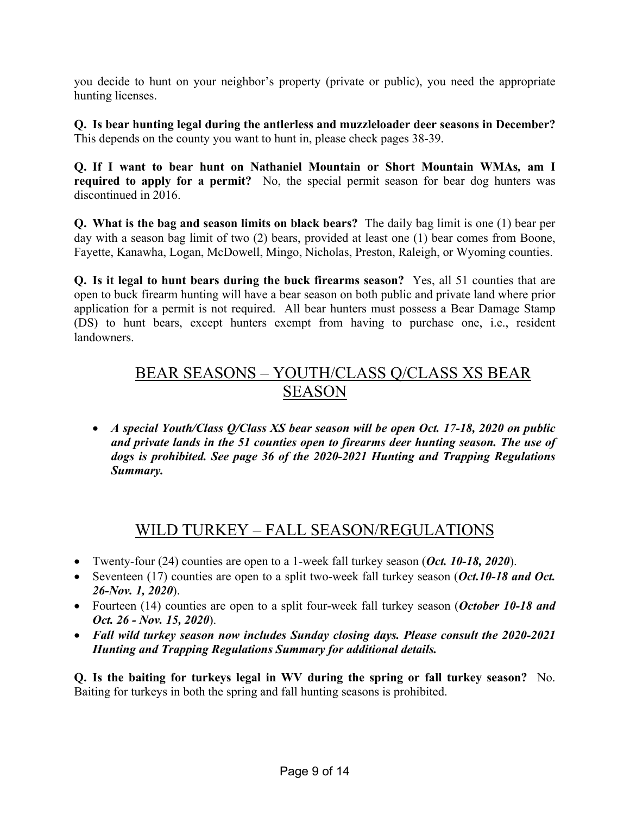you decide to hunt on your neighbor's property (private or public), you need the appropriate hunting licenses.

**Q. Is bear hunting legal during the antlerless and muzzleloader deer seasons in December?**  This depends on the county you want to hunt in, please check pages 38-39.

**Q. If I want to bear hunt on Nathaniel Mountain or Short Mountain WMAs***,* **am I required to apply for a permit?** No, the special permit season for bear dog hunters was discontinued in 2016.

**Q. What is the bag and season limits on black bears?** The daily bag limit is one (1) bear per day with a season bag limit of two (2) bears, provided at least one (1) bear comes from Boone, Fayette, Kanawha, Logan, McDowell, Mingo, Nicholas, Preston, Raleigh, or Wyoming counties.

**Q. Is it legal to hunt bears during the buck firearms season?** Yes, all 51 counties that are open to buck firearm hunting will have a bear season on both public and private land where prior application for a permit is not required. All bear hunters must possess a Bear Damage Stamp (DS) to hunt bears, except hunters exempt from having to purchase one, i.e., resident landowners.

### BEAR SEASONS – YOUTH/CLASS Q/CLASS XS BEAR SEASON

• *A special Youth/Class Q/Class XS bear season will be open Oct. 17-18, 2020 on public and private lands in the 51 counties open to firearms deer hunting season. The use of dogs is prohibited. See page 36 of the 2020-2021 Hunting and Trapping Regulations Summary.*

### WILD TURKEY – FALL SEASON/REGULATIONS

- Twenty-four (24) counties are open to a 1-week fall turkey season (*Oct. 10-18, 2020*).
- Seventeen (17) counties are open to a split two-week fall turkey season (*Oct.10-18 and Oct. 26-Nov. 1, 2020*).
- Fourteen (14) counties are open to a split four-week fall turkey season (*October 10-18 and Oct. 26 - Nov. 15, 2020*).
- *Fall wild turkey season now includes Sunday closing days. Please consult the 2020-2021 Hunting and Trapping Regulations Summary for additional details.*

**Q. Is the baiting for turkeys legal in WV during the spring or fall turkey season?** No. Baiting for turkeys in both the spring and fall hunting seasons is prohibited.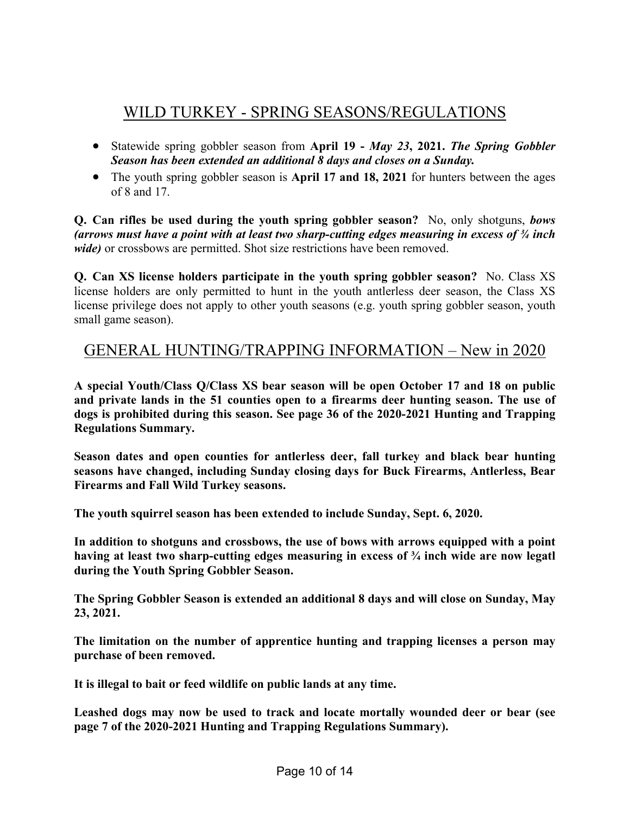## WILD TURKEY - SPRING SEASONS/REGULATIONS

- Statewide spring gobbler season from **April 19 -** *May 23***, 2021.** *The Spring Gobbler Season has been extended an additional 8 days and closes on a Sunday.*
- The youth spring gobbler season is **April 17 and 18, 2021** for hunters between the ages of 8 and 17.

**Q. Can rifles be used during the youth spring gobbler season?** No, only shotguns, *bows (arrows must have a point with at least two sharp-cutting edges measuring in excess of ¾ inch wide)* or crossbows are permitted. Shot size restrictions have been removed.

**Q. Can XS license holders participate in the youth spring gobbler season?** No. Class XS license holders are only permitted to hunt in the youth antlerless deer season, the Class XS license privilege does not apply to other youth seasons (e.g. youth spring gobbler season, youth small game season).

#### GENERAL HUNTING/TRAPPING INFORMATION – New in 2020

**A special Youth/Class Q/Class XS bear season will be open October 17 and 18 on public and private lands in the 51 counties open to a firearms deer hunting season. The use of dogs is prohibited during this season. See page 36 of the 2020-2021 Hunting and Trapping Regulations Summary.**

**Season dates and open counties for antlerless deer, fall turkey and black bear hunting seasons have changed, including Sunday closing days for Buck Firearms, Antlerless, Bear Firearms and Fall Wild Turkey seasons.**

**The youth squirrel season has been extended to include Sunday, Sept. 6, 2020.**

**In addition to shotguns and crossbows, the use of bows with arrows equipped with a point having at least two sharp-cutting edges measuring in excess of ¾ inch wide are now legatl during the Youth Spring Gobbler Season.**

**The Spring Gobbler Season is extended an additional 8 days and will close on Sunday, May 23, 2021.**

**The limitation on the number of apprentice hunting and trapping licenses a person may purchase of been removed.**

**It is illegal to bait or feed wildlife on public lands at any time.**

**Leashed dogs may now be used to track and locate mortally wounded deer or bear (see page 7 of the 2020-2021 Hunting and Trapping Regulations Summary).**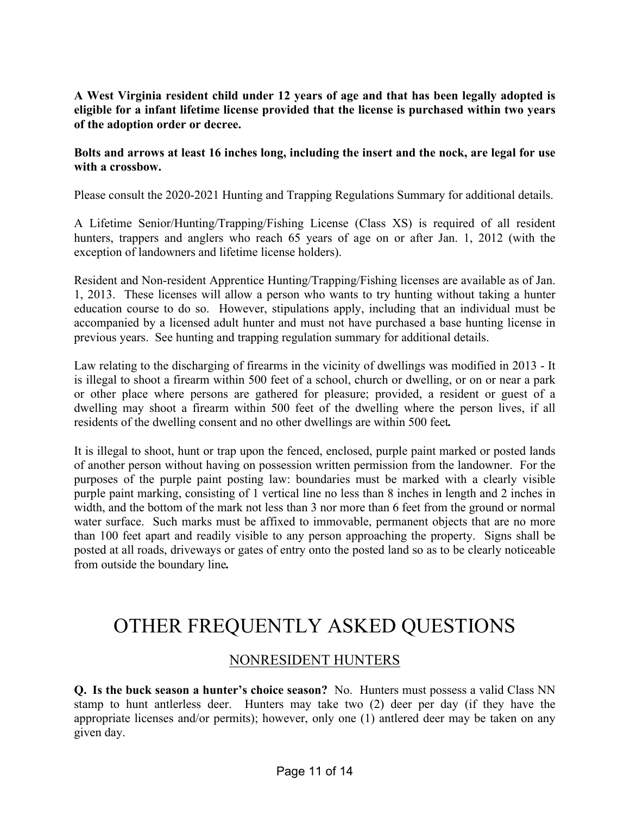#### **A West Virginia resident child under 12 years of age and that has been legally adopted is eligible for a infant lifetime license provided that the license is purchased within two years of the adoption order or decree.**

#### **Bolts and arrows at least 16 inches long, including the insert and the nock, are legal for use with a crossbow.**

Please consult the 2020-2021 Hunting and Trapping Regulations Summary for additional details.

A Lifetime Senior/Hunting/Trapping/Fishing License (Class XS) is required of all resident hunters, trappers and anglers who reach 65 years of age on or after Jan. 1, 2012 (with the exception of landowners and lifetime license holders).

Resident and Non-resident Apprentice Hunting/Trapping/Fishing licenses are available as of Jan. 1, 2013. These licenses will allow a person who wants to try hunting without taking a hunter education course to do so. However, stipulations apply, including that an individual must be accompanied by a licensed adult hunter and must not have purchased a base hunting license in previous years. See hunting and trapping regulation summary for additional details.

Law relating to the discharging of firearms in the vicinity of dwellings was modified in 2013 - It is illegal to shoot a firearm within 500 feet of a school, church or dwelling, or on or near a park or other place where persons are gathered for pleasure; provided, a resident or guest of a dwelling may shoot a firearm within 500 feet of the dwelling where the person lives, if all residents of the dwelling consent and no other dwellings are within 500 feet*.*

It is illegal to shoot, hunt or trap upon the fenced, enclosed, purple paint marked or posted lands of another person without having on possession written permission from the landowner. For the purposes of the purple paint posting law: boundaries must be marked with a clearly visible purple paint marking, consisting of 1 vertical line no less than 8 inches in length and 2 inches in width, and the bottom of the mark not less than 3 nor more than 6 feet from the ground or normal water surface. Such marks must be affixed to immovable, permanent objects that are no more than 100 feet apart and readily visible to any person approaching the property. Signs shall be posted at all roads, driveways or gates of entry onto the posted land so as to be clearly noticeable from outside the boundary line*.* 

# OTHER FREQUENTLY ASKED QUESTIONS

#### NONRESIDENT HUNTERS

**Q. Is the buck season a hunter's choice season?** No. Hunters must possess a valid Class NN stamp to hunt antlerless deer. Hunters may take two (2) deer per day (if they have the appropriate licenses and/or permits); however, only one (1) antlered deer may be taken on any given day.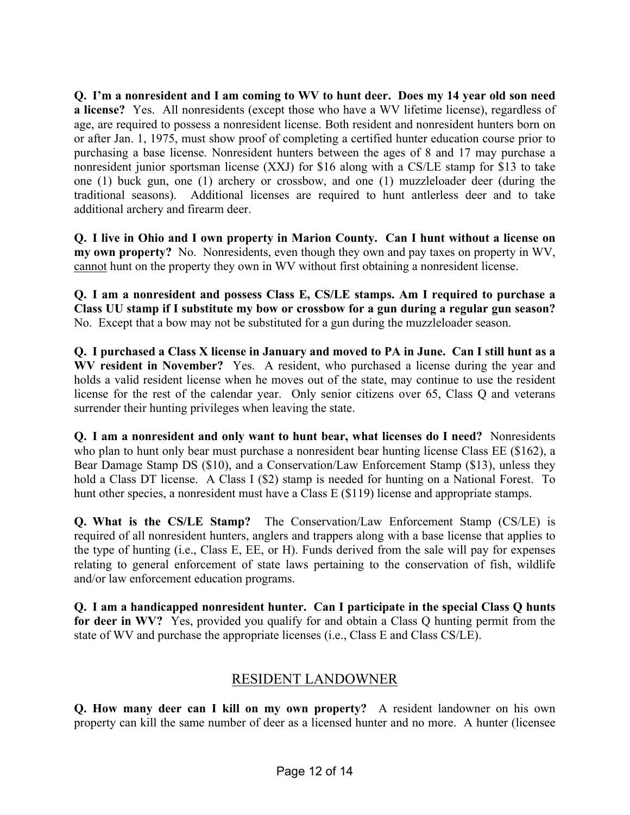**Q. I'm a nonresident and I am coming to WV to hunt deer. Does my 14 year old son need a license?** Yes. All nonresidents (except those who have a WV lifetime license), regardless of age, are required to possess a nonresident license. Both resident and nonresident hunters born on or after Jan. 1, 1975, must show proof of completing a certified hunter education course prior to purchasing a base license. Nonresident hunters between the ages of 8 and 17 may purchase a nonresident junior sportsman license (XXJ) for \$16 along with a CS/LE stamp for \$13 to take one (1) buck gun, one (1) archery or crossbow, and one (1) muzzleloader deer (during the traditional seasons). Additional licenses are required to hunt antlerless deer and to take additional archery and firearm deer.

**Q. I live in Ohio and I own property in Marion County. Can I hunt without a license on my own property?** No. Nonresidents, even though they own and pay taxes on property in WV, cannot hunt on the property they own in WV without first obtaining a nonresident license.

**Q. I am a nonresident and possess Class E, CS/LE stamps. Am I required to purchase a Class UU stamp if I substitute my bow or crossbow for a gun during a regular gun season?** No. Except that a bow may not be substituted for a gun during the muzzleloader season.

**Q. I purchased a Class X license in January and moved to PA in June. Can I still hunt as a WV resident in November?** Yes. A resident, who purchased a license during the year and holds a valid resident license when he moves out of the state, may continue to use the resident license for the rest of the calendar year. Only senior citizens over 65, Class Q and veterans surrender their hunting privileges when leaving the state.

**Q. I am a nonresident and only want to hunt bear, what licenses do I need?** Nonresidents who plan to hunt only bear must purchase a nonresident bear hunting license Class EE (\$162), a Bear Damage Stamp DS (\$10), and a Conservation/Law Enforcement Stamp (\$13), unless they hold a Class DT license. A Class I (\$2) stamp is needed for hunting on a National Forest. To hunt other species, a nonresident must have a Class E (\$119) license and appropriate stamps.

**Q. What is the CS/LE Stamp?** The Conservation/Law Enforcement Stamp (CS/LE) is required of all nonresident hunters, anglers and trappers along with a base license that applies to the type of hunting (i.e., Class E, EE, or H). Funds derived from the sale will pay for expenses relating to general enforcement of state laws pertaining to the conservation of fish, wildlife and/or law enforcement education programs.

**Q. I am a handicapped nonresident hunter. Can I participate in the special Class Q hunts for deer in WV?** Yes, provided you qualify for and obtain a Class Q hunting permit from the state of WV and purchase the appropriate licenses (i.e., Class E and Class CS/LE).

#### RESIDENT LANDOWNER

**Q. How many deer can I kill on my own property?** A resident landowner on his own property can kill the same number of deer as a licensed hunter and no more. A hunter (licensee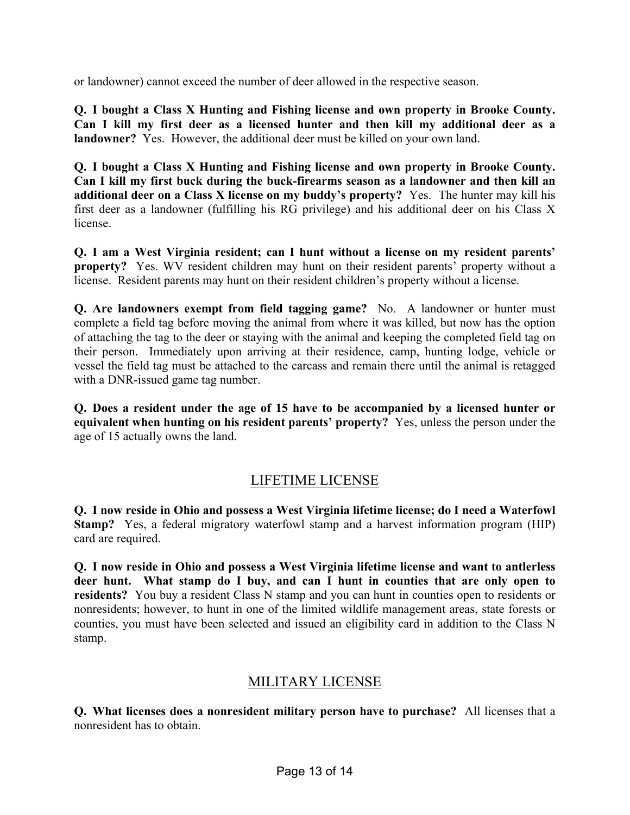or landowner) cannot exceed the number of deer allowed in the respective season.

**Q. I bought a Class X Hunting and Fishing license and own property in Brooke County. Can I kill my first deer as a licensed hunter and then kill my additional deer as a landowner?** Yes. However, the additional deer must be killed on your own land.

**Q. I bought a Class X Hunting and Fishing license and own property in Brooke County. Can I kill my first buck during the buck-firearms season as a landowner and then kill an additional deer on a Class X license on my buddy's property?** Yes. The hunter may kill his first deer as a landowner (fulfilling his RG privilege) and his additional deer on his Class X license.

**Q. I am a West Virginia resident; can I hunt without a license on my resident parents' property?** Yes. WV resident children may hunt on their resident parents' property without a license. Resident parents may hunt on their resident children's property without a license.

**Q. Are landowners exempt from field tagging game?** No. A landowner or hunter must complete a field tag before moving the animal from where it was killed, but now has the option of attaching the tag to the deer or staying with the animal and keeping the completed field tag on their person. Immediately upon arriving at their residence, camp, hunting lodge, vehicle or vessel the field tag must be attached to the carcass and remain there until the animal is retagged with a DNR-issued game tag number.

**Q. Does a resident under the age of 15 have to be accompanied by a licensed hunter or equivalent when hunting on his resident parents' property?** Yes, unless the person under the age of 15 actually owns the land.

#### LIFETIME LICENSE

**Q. I now reside in Ohio and possess a West Virginia lifetime license; do I need a Waterfowl Stamp?** Yes, a federal migratory waterfowl stamp and a harvest information program (HIP) card are required.

**Q. I now reside in Ohio and possess a West Virginia lifetime license and want to antlerless deer hunt. What stamp do I buy, and can I hunt in counties that are only open to residents?** You buy a resident Class N stamp and you can hunt in counties open to residents or nonresidents; however, to hunt in one of the limited wildlife management areas, state forests or counties, you must have been selected and issued an eligibility card in addition to the Class N stamp.

#### MILITARY LICENSE

**Q. What licenses does a nonresident military person have to purchase?** All licenses that a nonresident has to obtain.